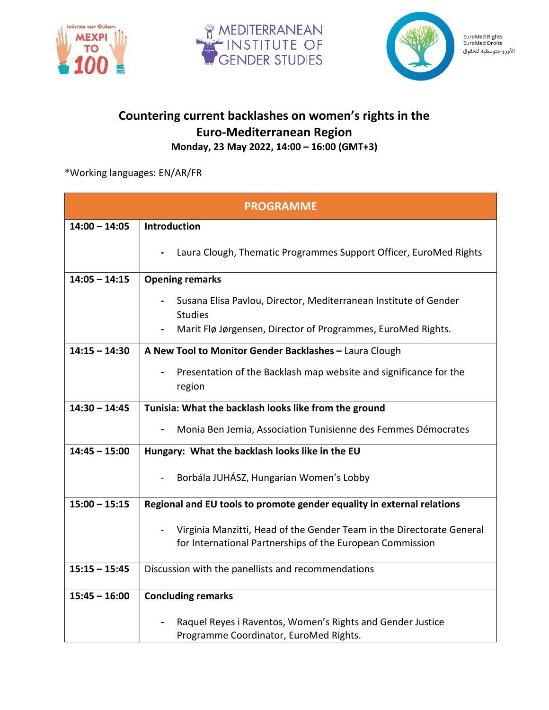





EuroMed Rights<br>EuroMed Droits الأورو-متوسطية للحقوق

## **Countering current backlashes on women's rights in the Euro-Mediterranean Region Monday, 23 May 2022, 14:00 – 16:00 (GMT+3)**

\*Working languages: EN/AR/FR

| <b>PROGRAMME</b> |                                                                                                                                    |
|------------------|------------------------------------------------------------------------------------------------------------------------------------|
| $14:00 - 14:05$  | Introduction                                                                                                                       |
|                  | Laura Clough, Thematic Programmes Support Officer, EuroMed Rights                                                                  |
| $14:05 - 14:15$  | <b>Opening remarks</b>                                                                                                             |
|                  | Susana Elisa Pavlou, Director, Mediterranean Institute of Gender<br><b>Studies</b>                                                 |
|                  | Marit Flø Jørgensen, Director of Programmes, EuroMed Rights.                                                                       |
| $14:15 - 14:30$  | A New Tool to Monitor Gender Backlashes - Laura Clough                                                                             |
|                  | Presentation of the Backlash map website and significance for the<br>region                                                        |
| $14:30 - 14:45$  | Tunisia: What the backlash looks like from the ground                                                                              |
|                  | Monia Ben Jemia, Association Tunisienne des Femmes Démocrates                                                                      |
| $14:45 - 15:00$  | Hungary: What the backlash looks like in the EU                                                                                    |
|                  | Borbála JUHÁSZ, Hungarian Women's Lobby                                                                                            |
| $15:00 - 15:15$  | Regional and EU tools to promote gender equality in external relations                                                             |
|                  | Virginia Manzitti, Head of the Gender Team in the Directorate General<br>for International Partnerships of the European Commission |
| $15:15 - 15:45$  | Discussion with the panellists and recommendations                                                                                 |
| $15:45 - 16:00$  | <b>Concluding remarks</b>                                                                                                          |
|                  | Raquel Reyes i Raventos, Women's Rights and Gender Justice<br>Programme Coordinator, EuroMed Rights.                               |